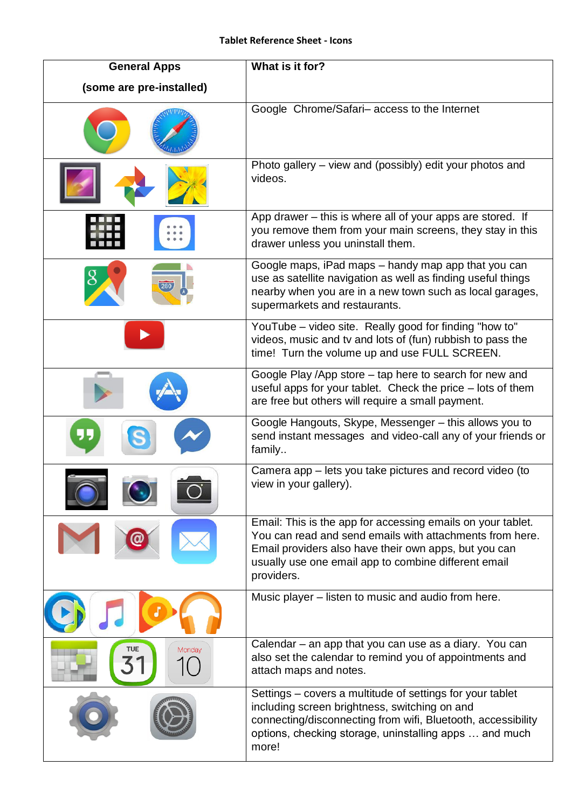| <b>General Apps</b>      | What is it for?                                                                                                                                                                                                                                        |
|--------------------------|--------------------------------------------------------------------------------------------------------------------------------------------------------------------------------------------------------------------------------------------------------|
| (some are pre-installed) |                                                                                                                                                                                                                                                        |
|                          | Google Chrome/Safari-access to the Internet                                                                                                                                                                                                            |
|                          | Photo gallery – view and (possibly) edit your photos and<br>videos.                                                                                                                                                                                    |
|                          | App drawer – this is where all of your apps are stored. If<br>you remove them from your main screens, they stay in this<br>drawer unless you uninstall them.                                                                                           |
|                          | Google maps, iPad maps - handy map app that you can<br>use as satellite navigation as well as finding useful things<br>nearby when you are in a new town such as local garages,<br>supermarkets and restaurants.                                       |
|                          | YouTube – video site. Really good for finding "how to"<br>videos, music and tv and lots of (fun) rubbish to pass the<br>time! Turn the volume up and use FULL SCREEN.                                                                                  |
|                          | Google Play /App store – tap here to search for new and<br>useful apps for your tablet. Check the price – lots of them<br>are free but others will require a small payment.                                                                            |
|                          | Google Hangouts, Skype, Messenger - this allows you to<br>send instant messages and video-call any of your friends or<br>family                                                                                                                        |
|                          | Camera app – lets you take pictures and record video (to<br>view in your gallery).                                                                                                                                                                     |
|                          | Email: This is the app for accessing emails on your tablet.<br>You can read and send emails with attachments from here.<br>Email providers also have their own apps, but you can<br>usually use one email app to combine different email<br>providers. |
|                          | Music player - listen to music and audio from here.                                                                                                                                                                                                    |
| Monday                   | Calendar – an app that you can use as a diary. You can<br>also set the calendar to remind you of appointments and<br>attach maps and notes.                                                                                                            |
|                          | Settings – covers a multitude of settings for your tablet<br>including screen brightness, switching on and<br>connecting/disconnecting from wifi, Bluetooth, accessibility<br>options, checking storage, uninstalling apps  and much<br>more!          |